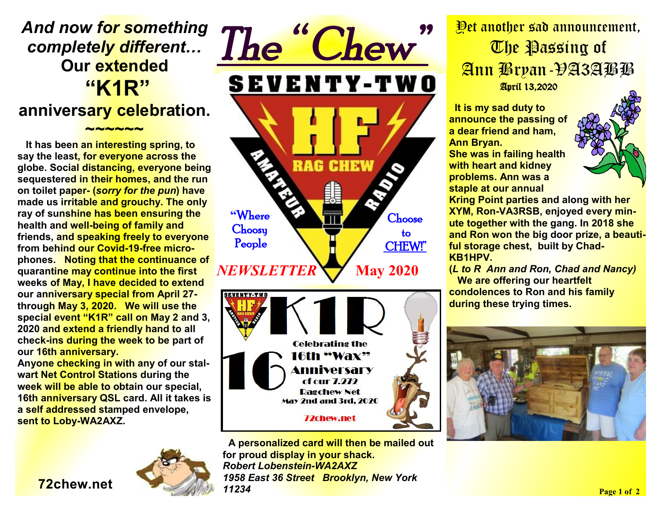# *And now for something completely different…*  **Our extended "K1R"**

### **anniversary celebration.**

**~~~~~~** 

 **It has been an interesting spring, to say the least, for everyone across the globe. Social distancing, everyone being sequestered in their homes, and the run on toilet paper- (***sorry for the pun***) have made us irritable and grouchy. The only ray of sunshine has been ensuring the health and well-being of family and friends, and speaking freely to everyone from behind our Covid-19-free microphones. Noting that the continuance of quarantine may continue into the first weeks of May, I have decided to extend our anniversary special from April 27 through May 3, 2020. We will use the special event "K1R" call on May 2 and 3, 2020 and extend a friendly hand to all check-ins during the week to be part of our 16th anniversary.** 

**Anyone checking in with any of our stalwart Net Control Stations during the week will be able to obtain our special, 16th anniversary QSL card. All it takes is a self addressed stamped envelope, sent to Loby-WA2AXZ.** 





**A personalized card will then be mailed out for proud display in your shack.**  *Robert Lobenstein-WA2AXZ 1958 East 36 Street Brooklyn, New York 11234* 

## Yet another sad announcement, The Passing of Ann Bryan-VA3ABB April 13,2020

 **It is my sad duty to announce the passing of a dear friend and ham, Ann Bryan. She was in failing health with heart and kidney problems. Ann was a staple at our annual** 



**Kring Point parties and along with her XYM, Ron-VA3RSB, enjoyed every minute together with the gang. In 2018 she and Ron won the big door prize, a beautiful storage chest, built by Chad-KB1HPV.** 

**(***L to R Ann and Ron, Chad and Nancy)*   **We are offering our heartfelt condolences to Ron and his family during these trying times.**